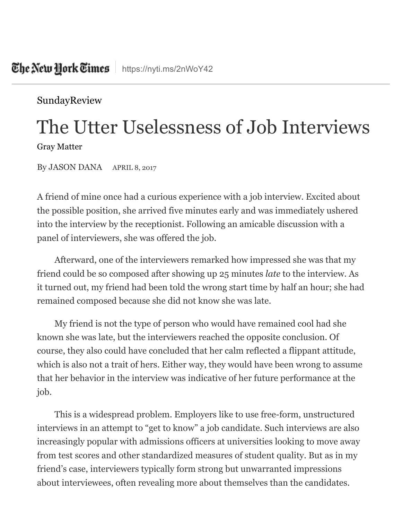[SundayReview](https://www.nytimes.com/section/opinion/sunday)

## The Utter Uselessness of Job Interviews

[Gray Matter](https://www.nytimes.com/column/gray-matter)

By JASON DANA APRIL 8, 2017

A friend of mine once had a curious experience with a job interview. Excited about the possible position, she arrived five minutes early and was immediately ushered into the interview by the receptionist. Following an amicable discussion with a panel of interviewers, she was offered the job.

Afterward, one of the interviewers remarked how impressed she was that my friend could be so composed after showing up 25 minutes *late* to the interview. As it turned out, my friend had been told the wrong start time by half an hour; she had remained composed because she did not know she was late.

My friend is not the type of person who would have remained cool had she known she was late, but the interviewers reached the opposite conclusion. Of course, they also could have concluded that her calm reflected a flippant attitude, which is also not a trait of hers. Either way, they would have been wrong to assume that her behavior in the interview was indicative of her future performance at the job.

This is a widespread problem. Employers like to use free-form, unstructured interviews in an attempt to "get to know" a job candidate. Such interviews are also increasingly popular with admissions officers at universities looking to move away from test scores and other standardized measures of student quality. But as in my friend's case, interviewers typically form strong but unwarranted impressions about interviewees, often revealing more about themselves than the candidates.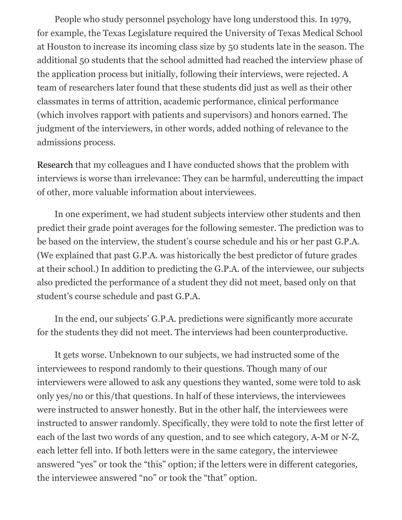People who study personnel psychology have long understood this. In 1979, for example, the Texas Legislature required the University of Texas Medical School at Houston to increase its incoming class size by 50 students late in the season. The additional 50 students that the school admitted had reached the interview phase of the application process but initially, following their interviews, were rejected. A team of researchers later found that these students did just as well as their other classmates in terms of attrition, academic performance, clinical performance (which involves rapport with patients and supervisors) and honors earned. The judgment of the interviewers, in other words, added nothing of relevance to the admissions process.

[Research](http://journal.sjdm.org/12/121130a/jdm121130a.pdf) that my colleagues and I have conducted shows that the problem with interviews is worse than irrelevance: They can be harmful, undercutting the impact of other, more valuable information about interviewees.

In one experiment, we had student subjects interview other students and then predict their grade point averages for the following semester. The prediction was to be based on the interview, the student's course schedule and his or her past G.P.A. (We explained that past G.P.A. was historically the best predictor of future grades at their school.) In addition to predicting the G.P.A. of the interviewee, our subjects also predicted the performance of a student they did not meet, based only on that student's course schedule and past G.P.A.

In the end, our subjects' G.P.A. predictions were significantly more accurate for the students they did not meet. The interviews had been counterproductive.

It gets worse. Unbeknown to our subjects, we had instructed some of the interviewees to respond randomly to their questions. Though many of our interviewers were allowed to ask any questions they wanted, some were told to ask only yes/no or this/that questions. In half of these interviews, the interviewees were instructed to answer honestly. But in the other half, the interviewees were instructed to answer randomly. Specifically, they were told to note the first letter of each of the last two words of any question, and to see which category, A-M or N-Z, each letter fell into. If both letters were in the same category, the interviewee answered "yes" or took the "this" option; if the letters were in different categories, the interviewee answered "no" or took the "that" option.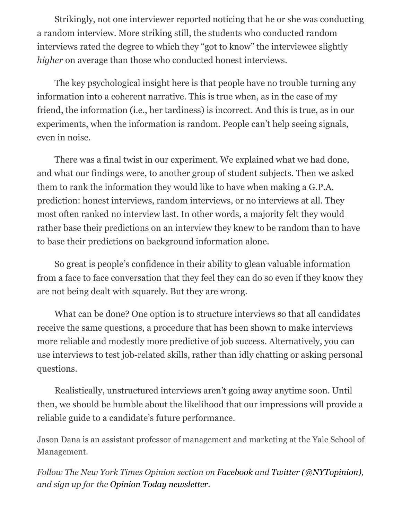Strikingly, not one interviewer reported noticing that he or she was conducting a random interview. More striking still, the students who conducted random interviews rated the degree to which they "got to know" the interviewee slightly *higher* on average than those who conducted honest interviews.

The key psychological insight here is that people have no trouble turning any information into a coherent narrative. This is true when, as in the case of my friend, the information (i.e., her tardiness) is incorrect. And this is true, as in our experiments, when the information is random. People can't help seeing signals, even in noise.

There was a final twist in our experiment. We explained what we had done, and what our findings were, to another group of student subjects. Then we asked them to rank the information they would like to have when making a G.P.A. prediction: honest interviews, random interviews, or no interviews at all. They most often ranked no interview last. In other words, a majority felt they would rather base their predictions on an interview they knew to be random than to have to base their predictions on background information alone.

So great is people's confidence in their ability to glean valuable information from a face to face conversation that they feel they can do so even if they know they are not being dealt with squarely. But they are wrong.

What can be done? One option is to structure interviews so that all candidates receive the same questions, a procedure that has been shown to make interviews more reliable and modestly more predictive of job success. Alternatively, you can use interviews to test job-related skills, rather than idly chatting or asking personal questions.

Realistically, unstructured interviews aren't going away anytime soon. Until then, we should be humble about the likelihood that our impressions will provide a reliable guide to a candidate's future performance.

Jason Dana is an assistant professor of management and marketing at the Yale School of Management.

*Follow The New York Times Opinion section on [Facebook](https://www.facebook.com/nytopinion) and [Twitter \(@NYTopinion\),](http://twitter.com/NYTOpinion) and sign up for the [Opinion Today newsletter](http://www.nytimes.com/newsletters/opiniontoday/).*